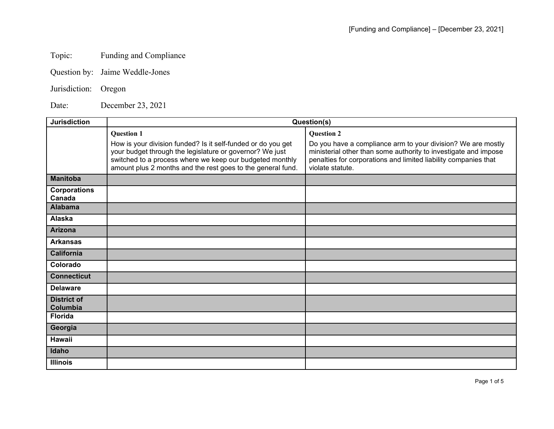## Topic: Funding and Compliance

- Question by: Jaime Weddle-Jones
- Jurisdiction: Oregon

Date: December 23, 2021

| <b>Jurisdiction</b>            | Question(s)                                                                                                                                                                                                                                         |                                                                                                                                                                                                                        |  |
|--------------------------------|-----------------------------------------------------------------------------------------------------------------------------------------------------------------------------------------------------------------------------------------------------|------------------------------------------------------------------------------------------------------------------------------------------------------------------------------------------------------------------------|--|
|                                | <b>Question 1</b>                                                                                                                                                                                                                                   | <b>Question 2</b>                                                                                                                                                                                                      |  |
|                                | How is your division funded? Is it self-funded or do you get<br>your budget through the legislature or governor? We just<br>switched to a process where we keep our budgeted monthly<br>amount plus 2 months and the rest goes to the general fund. | Do you have a compliance arm to your division? We are mostly<br>ministerial other than some authority to investigate and impose<br>penalties for corporations and limited liability companies that<br>violate statute. |  |
| <b>Manitoba</b>                |                                                                                                                                                                                                                                                     |                                                                                                                                                                                                                        |  |
| <b>Corporations</b><br>Canada  |                                                                                                                                                                                                                                                     |                                                                                                                                                                                                                        |  |
| <b>Alabama</b>                 |                                                                                                                                                                                                                                                     |                                                                                                                                                                                                                        |  |
| <b>Alaska</b>                  |                                                                                                                                                                                                                                                     |                                                                                                                                                                                                                        |  |
| <b>Arizona</b>                 |                                                                                                                                                                                                                                                     |                                                                                                                                                                                                                        |  |
| <b>Arkansas</b>                |                                                                                                                                                                                                                                                     |                                                                                                                                                                                                                        |  |
| <b>California</b>              |                                                                                                                                                                                                                                                     |                                                                                                                                                                                                                        |  |
| Colorado                       |                                                                                                                                                                                                                                                     |                                                                                                                                                                                                                        |  |
| <b>Connecticut</b>             |                                                                                                                                                                                                                                                     |                                                                                                                                                                                                                        |  |
| <b>Delaware</b>                |                                                                                                                                                                                                                                                     |                                                                                                                                                                                                                        |  |
| <b>District of</b><br>Columbia |                                                                                                                                                                                                                                                     |                                                                                                                                                                                                                        |  |
| <b>Florida</b>                 |                                                                                                                                                                                                                                                     |                                                                                                                                                                                                                        |  |
| Georgia                        |                                                                                                                                                                                                                                                     |                                                                                                                                                                                                                        |  |
| Hawaii                         |                                                                                                                                                                                                                                                     |                                                                                                                                                                                                                        |  |
| Idaho                          |                                                                                                                                                                                                                                                     |                                                                                                                                                                                                                        |  |
| <b>Illinois</b>                |                                                                                                                                                                                                                                                     |                                                                                                                                                                                                                        |  |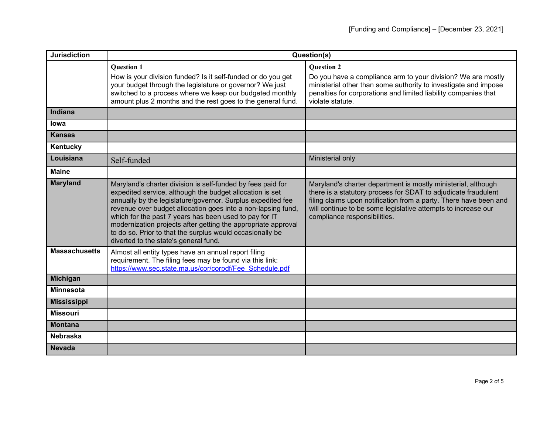| <b>Jurisdiction</b>  | Question(s)                                                                                                                                                                                                                                                                                                                                                                                                                                                                             |                                                                                                                                                                                                                                                                                                       |
|----------------------|-----------------------------------------------------------------------------------------------------------------------------------------------------------------------------------------------------------------------------------------------------------------------------------------------------------------------------------------------------------------------------------------------------------------------------------------------------------------------------------------|-------------------------------------------------------------------------------------------------------------------------------------------------------------------------------------------------------------------------------------------------------------------------------------------------------|
|                      | <b>Question 1</b><br>How is your division funded? Is it self-funded or do you get<br>your budget through the legislature or governor? We just<br>switched to a process where we keep our budgeted monthly<br>amount plus 2 months and the rest goes to the general fund.                                                                                                                                                                                                                | <b>Question 2</b><br>Do you have a compliance arm to your division? We are mostly<br>ministerial other than some authority to investigate and impose<br>penalties for corporations and limited liability companies that<br>violate statute.                                                           |
| <b>Indiana</b>       |                                                                                                                                                                                                                                                                                                                                                                                                                                                                                         |                                                                                                                                                                                                                                                                                                       |
| lowa                 |                                                                                                                                                                                                                                                                                                                                                                                                                                                                                         |                                                                                                                                                                                                                                                                                                       |
| <b>Kansas</b>        |                                                                                                                                                                                                                                                                                                                                                                                                                                                                                         |                                                                                                                                                                                                                                                                                                       |
| Kentucky             |                                                                                                                                                                                                                                                                                                                                                                                                                                                                                         |                                                                                                                                                                                                                                                                                                       |
| Louisiana            | Self-funded                                                                                                                                                                                                                                                                                                                                                                                                                                                                             | Ministerial only                                                                                                                                                                                                                                                                                      |
| <b>Maine</b>         |                                                                                                                                                                                                                                                                                                                                                                                                                                                                                         |                                                                                                                                                                                                                                                                                                       |
| <b>Maryland</b>      | Maryland's charter division is self-funded by fees paid for<br>expedited service, although the budget allocation is set<br>annually by the legislature/governor. Surplus expedited fee<br>revenue over budget allocation goes into a non-lapsing fund,<br>which for the past 7 years has been used to pay for IT<br>modernization projects after getting the appropriate approval<br>to do so. Prior to that the surplus would occasionally be<br>diverted to the state's general fund. | Maryland's charter department is mostly ministerial, although<br>there is a statutory process for SDAT to adjudicate fraudulent<br>filing claims upon notification from a party. There have been and<br>will continue to be some legislative attempts to increase our<br>compliance responsibilities. |
| <b>Massachusetts</b> | Almost all entity types have an annual report filing<br>requirement. The filing fees may be found via this link:<br>https://www.sec.state.ma.us/cor/corpdf/Fee Schedule.pdf                                                                                                                                                                                                                                                                                                             |                                                                                                                                                                                                                                                                                                       |
| <b>Michigan</b>      |                                                                                                                                                                                                                                                                                                                                                                                                                                                                                         |                                                                                                                                                                                                                                                                                                       |
| <b>Minnesota</b>     |                                                                                                                                                                                                                                                                                                                                                                                                                                                                                         |                                                                                                                                                                                                                                                                                                       |
| <b>Mississippi</b>   |                                                                                                                                                                                                                                                                                                                                                                                                                                                                                         |                                                                                                                                                                                                                                                                                                       |
| <b>Missouri</b>      |                                                                                                                                                                                                                                                                                                                                                                                                                                                                                         |                                                                                                                                                                                                                                                                                                       |
| <b>Montana</b>       |                                                                                                                                                                                                                                                                                                                                                                                                                                                                                         |                                                                                                                                                                                                                                                                                                       |
| <b>Nebraska</b>      |                                                                                                                                                                                                                                                                                                                                                                                                                                                                                         |                                                                                                                                                                                                                                                                                                       |
| <b>Nevada</b>        |                                                                                                                                                                                                                                                                                                                                                                                                                                                                                         |                                                                                                                                                                                                                                                                                                       |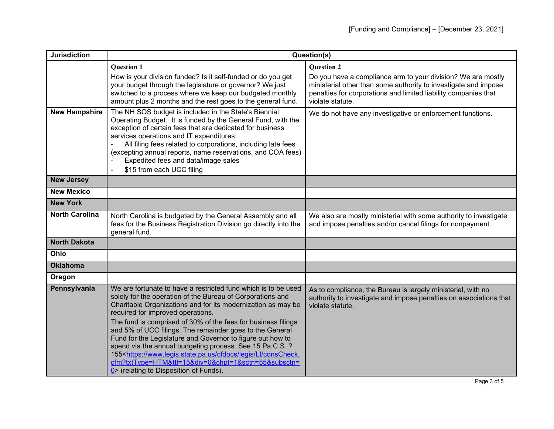| <b>Jurisdiction</b>   | Question(s)                                                                                                                                                                                                                                                                                                                                                                                                                                                                                                                                                                                                                                                                                        |                                                                                                                                                                                                                                             |
|-----------------------|----------------------------------------------------------------------------------------------------------------------------------------------------------------------------------------------------------------------------------------------------------------------------------------------------------------------------------------------------------------------------------------------------------------------------------------------------------------------------------------------------------------------------------------------------------------------------------------------------------------------------------------------------------------------------------------------------|---------------------------------------------------------------------------------------------------------------------------------------------------------------------------------------------------------------------------------------------|
|                       | <b>Question 1</b><br>How is your division funded? Is it self-funded or do you get<br>your budget through the legislature or governor? We just<br>switched to a process where we keep our budgeted monthly<br>amount plus 2 months and the rest goes to the general fund.                                                                                                                                                                                                                                                                                                                                                                                                                           | <b>Question 2</b><br>Do you have a compliance arm to your division? We are mostly<br>ministerial other than some authority to investigate and impose<br>penalties for corporations and limited liability companies that<br>violate statute. |
| <b>New Hampshire</b>  | The NH SOS budget is included in the State's Biennial<br>Operating Budget. It is funded by the General Fund, with the<br>exception of certain fees that are dedicated for business<br>services operations and IT expenditures:<br>All filing fees related to corporations, including late fees<br>(excepting annual reports, name reservations, and COA fees)<br>Expedited fees and data/image sales<br>\$15 from each UCC filing                                                                                                                                                                                                                                                                  | We do not have any investigative or enforcement functions.                                                                                                                                                                                  |
| <b>New Jersey</b>     |                                                                                                                                                                                                                                                                                                                                                                                                                                                                                                                                                                                                                                                                                                    |                                                                                                                                                                                                                                             |
| <b>New Mexico</b>     |                                                                                                                                                                                                                                                                                                                                                                                                                                                                                                                                                                                                                                                                                                    |                                                                                                                                                                                                                                             |
| <b>New York</b>       |                                                                                                                                                                                                                                                                                                                                                                                                                                                                                                                                                                                                                                                                                                    |                                                                                                                                                                                                                                             |
| <b>North Carolina</b> | North Carolina is budgeted by the General Assembly and all<br>fees for the Business Registration Division go directly into the<br>general fund.                                                                                                                                                                                                                                                                                                                                                                                                                                                                                                                                                    | We also are mostly ministerial with some authority to investigate<br>and impose penalties and/or cancel filings for nonpayment.                                                                                                             |
| <b>North Dakota</b>   |                                                                                                                                                                                                                                                                                                                                                                                                                                                                                                                                                                                                                                                                                                    |                                                                                                                                                                                                                                             |
| Ohio                  |                                                                                                                                                                                                                                                                                                                                                                                                                                                                                                                                                                                                                                                                                                    |                                                                                                                                                                                                                                             |
| <b>Oklahoma</b>       |                                                                                                                                                                                                                                                                                                                                                                                                                                                                                                                                                                                                                                                                                                    |                                                                                                                                                                                                                                             |
| Oregon                |                                                                                                                                                                                                                                                                                                                                                                                                                                                                                                                                                                                                                                                                                                    |                                                                                                                                                                                                                                             |
| Pennsylvania          | We are fortunate to have a restricted fund which is to be used<br>solely for the operation of the Bureau of Corporations and<br>Charitable Organizations and for its modernization as may be<br>required for improved operations.<br>The fund is comprised of 30% of the fees for business filings<br>and 5% of UCC filings. The remainder goes to the General<br>Fund for the Legislature and Governor to figure out how to<br>spend via the annual budgeting process. See 15 Pa.C.S.?<br>155 <https: cfdocs="" conscheck.<br="" legis="" ll="" www.legis.state.pa.us="">cfm?txtType=HTM&amp;ttl=15÷=0&amp;chpt=1&amp;sctn=55&amp;subsctn=<br/>0&gt; (relating to Disposition of Funds).</https:> | As to compliance, the Bureau is largely ministerial, with no<br>authority to investigate and impose penalties on associations that<br>violate statute.                                                                                      |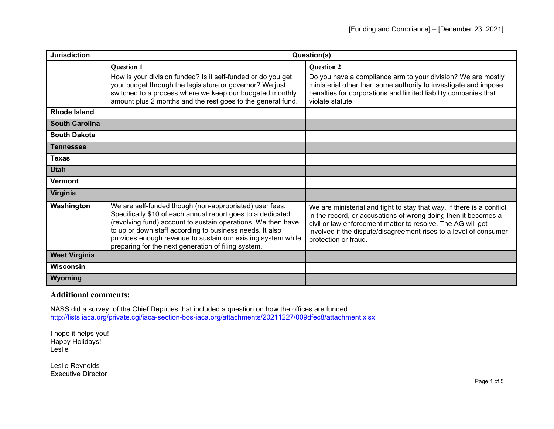| <b>Jurisdiction</b>   | Question(s)                                                                                                                                                                                                                                                                                                                                                               |                                                                                                                                                                                                                                                                                                     |
|-----------------------|---------------------------------------------------------------------------------------------------------------------------------------------------------------------------------------------------------------------------------------------------------------------------------------------------------------------------------------------------------------------------|-----------------------------------------------------------------------------------------------------------------------------------------------------------------------------------------------------------------------------------------------------------------------------------------------------|
|                       | <b>Question 1</b>                                                                                                                                                                                                                                                                                                                                                         | <b>Question 2</b>                                                                                                                                                                                                                                                                                   |
|                       | How is your division funded? Is it self-funded or do you get<br>your budget through the legislature or governor? We just<br>switched to a process where we keep our budgeted monthly<br>amount plus 2 months and the rest goes to the general fund.                                                                                                                       | Do you have a compliance arm to your division? We are mostly<br>ministerial other than some authority to investigate and impose<br>penalties for corporations and limited liability companies that<br>violate statute.                                                                              |
| <b>Rhode Island</b>   |                                                                                                                                                                                                                                                                                                                                                                           |                                                                                                                                                                                                                                                                                                     |
| <b>South Carolina</b> |                                                                                                                                                                                                                                                                                                                                                                           |                                                                                                                                                                                                                                                                                                     |
| <b>South Dakota</b>   |                                                                                                                                                                                                                                                                                                                                                                           |                                                                                                                                                                                                                                                                                                     |
| <b>Tennessee</b>      |                                                                                                                                                                                                                                                                                                                                                                           |                                                                                                                                                                                                                                                                                                     |
| <b>Texas</b>          |                                                                                                                                                                                                                                                                                                                                                                           |                                                                                                                                                                                                                                                                                                     |
| <b>Utah</b>           |                                                                                                                                                                                                                                                                                                                                                                           |                                                                                                                                                                                                                                                                                                     |
| Vermont               |                                                                                                                                                                                                                                                                                                                                                                           |                                                                                                                                                                                                                                                                                                     |
| Virginia              |                                                                                                                                                                                                                                                                                                                                                                           |                                                                                                                                                                                                                                                                                                     |
| Washington            | We are self-funded though (non-appropriated) user fees.<br>Specifically \$10 of each annual report goes to a dedicated<br>(revolving fund) account to sustain operations. We then have<br>to up or down staff according to business needs. It also<br>provides enough revenue to sustain our existing system while<br>preparing for the next generation of filing system. | We are ministerial and fight to stay that way. If there is a conflict<br>in the record, or accusations of wrong doing then it becomes a<br>civil or law enforcement matter to resolve. The AG will get<br>involved if the dispute/disagreement rises to a level of consumer<br>protection or fraud. |
| <b>West Virginia</b>  |                                                                                                                                                                                                                                                                                                                                                                           |                                                                                                                                                                                                                                                                                                     |
| <b>Wisconsin</b>      |                                                                                                                                                                                                                                                                                                                                                                           |                                                                                                                                                                                                                                                                                                     |
| Wyoming               |                                                                                                                                                                                                                                                                                                                                                                           |                                                                                                                                                                                                                                                                                                     |

## **Additional comments:**

NASS did a survey of the Chief Deputies that included a question on how the offices are funded. <http://lists.iaca.org/private.cgi/iaca-section-bos-iaca.org/attachments/20211227/009dfec8/attachment.xlsx>

I hope it helps you! Happy Holidays! Leslie

Leslie Reynolds Executive Director